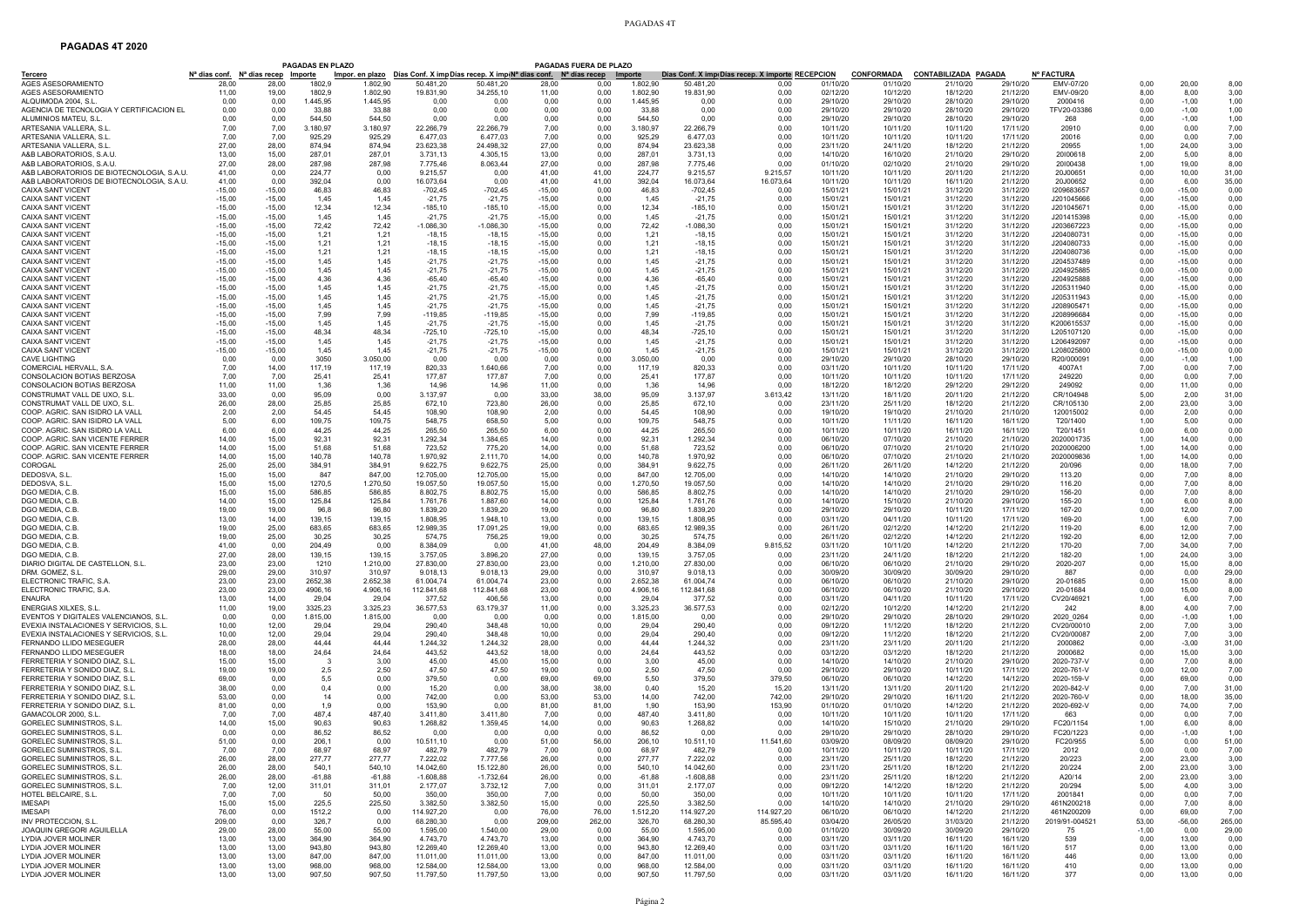## PAGADAS 4T

## **PAGADAS 4T 2020**

|                                                                                      |                                                                      |                      | PAGADAS EN PLAZO  |                    |                         |                                                                                 | PAGADAS FUERA DE PLAZO |                                           |                    |                         |                                                          |                      |                               |                                         |                      |                                |               |                      |                |
|--------------------------------------------------------------------------------------|----------------------------------------------------------------------|----------------------|-------------------|--------------------|-------------------------|---------------------------------------------------------------------------------|------------------------|-------------------------------------------|--------------------|-------------------------|----------------------------------------------------------|----------------------|-------------------------------|-----------------------------------------|----------------------|--------------------------------|---------------|----------------------|----------------|
| <b>Tercero</b><br>AGES ASESORAMIENTO                                                 | N <sup>a</sup> dias conf. N <sup>a</sup> días recep Importe<br>28.00 | 28.00                | 1802.9            | 1.802,90           | 50.481.20               | Impor. en plazo Días Conf. X impDías recep. X imp(N <sup>a</sup> d<br>50.481.20 | s conf.<br>28,00       | N <sup>a</sup> días recep Importe<br>0.00 | 1.802,90           | 50.481.20               | Días Conf. X imp(Días recep. X importe RECEPCION<br>0.00 | 01/10/20             | <b>CONFORMADA</b><br>01/10/20 | <b>CONTABILIZADA PAGADA</b><br>21/10/20 | 29/10/20             | <b>Nº FACTURA</b><br>EMV-07/20 | 0.00          | 20,00                | 8,00           |
| AGES ASESORAMIENTO                                                                   | 11,00                                                                | 19.00                | 1802.9            | 1.802,90           | 19.831,90               | 34.255,10                                                                       | 11.00                  | 0,00                                      | 1.802,90           | 19.831,90               | 0.00                                                     | 02/12/20             | 10/12/20                      | 18/12/20                                | 21/12/20             | EMV-09/20                      | 8,00          | 8,00                 | 3,00           |
| ALQUIMODA 2004, S.L.                                                                 | 0.00                                                                 | 0.00                 | 1.445,95          | 1.445,95           | 0,00                    | 0.00                                                                            | 0.00                   | 0,00                                      | 1.445,95           | 0.00                    | 0,00                                                     | 29/10/20             | 29/10/20                      | 28/10/20                                | 29/10/20             | 2000416                        | 0,00          | $-1,00$              | 1,00           |
| AGENCIA DE TECNOLOGIA Y CERTIFICACION EL<br>ALUMINIOS MATEU, S.L.                    | 0.00<br>0,00                                                         | 0.00<br>0.00         | 33.88<br>544,50   | 33.88<br>544.50    | 0.00<br>0.00            | 0,00<br>0,00                                                                    | 0.00<br>0,00           | 0.00<br>0,00                              | 33.88<br>544,50    | 0.00<br>0.00            | 0.00<br>0,00                                             | 29/10/20<br>29/10/20 | 29/10/20<br>29/10/20          | 28/10/20<br>28/10/20                    | 29/10/20<br>29/10/20 | TFV20-03386<br>268             | 0.00<br>0,00  | $-1,00$<br>$-1,00$   | 1,00<br>1,00   |
| ARTESANIA VALLERA, S.L                                                               | 7,00                                                                 | 7,00                 | 3.180,97          | 3.180,97           | 22.266,79               | 22.266,79                                                                       | 7,00                   | 0,00                                      | 3.180,97           | 22.266,79               | 0,00                                                     | 10/11/20             | 10/11/20                      | 10/11/20                                | 17/11/20             | 20910                          | 0.00          | 0,00                 | 7,00           |
| ARTESANIA VALLERA, S.L.<br>ARTESANIA VALLERA, S.L.                                   | 7.00<br>27,00                                                        | 7.00<br>28,00        | 925.29<br>874.94  | 925.29<br>874,94   | 6.477,03<br>23.623,38   | 6.477.03<br>24.498,32                                                           | 7,00<br>27,00          | 0,00<br>0,00                              | 925.29<br>874.94   | 6.477.03<br>23.623,38   | 0.00<br>0,00                                             | 10/11/20<br>23/11/20 | 10/11/20<br>24/11/20          | 10/11/20<br>18/12/20                    | 17/11/20<br>21/12/20 | 20016<br>20955                 | 0.00<br>1,00  | 0,00<br>24,00        | 7,00<br>3,00   |
| A&B LABORATORIOS, S.A.U                                                              | 13,00                                                                | 15,00                | 287.01            | 287,01             | 3.731,13                | 4.305,15                                                                        | 13.00                  | 0.00                                      | 287,01             | 3.731,13                | 0.00                                                     | 14/10/20             | 16/10/20                      | 21/10/20                                | 29/10/20             | 20100618                       | 2,00          | 5,00                 | 8,00           |
| A&B LABORATORIOS, S.A.U                                                              | 27,00                                                                | 28,00                | 287,98            | 287,98             | 7.775,46                | 8.063,44                                                                        | 27,00                  | 0,00                                      | 287,98             | 7.775,46                | 0.00                                                     | 01/10/20             | 02/10/20                      | 21/10/20                                | 29/10/20             | 20100438                       | 1,00          | 19,00                | 8,00           |
| A&B LABORATORIOS DE BIOTECNOLOGIA, S.A.U<br>A&B LABORATORIOS DE BIOTECNOLOGIA. S.A.U | 41,00<br>41.00                                                       | 0,00<br>0.00         | 224,77<br>392.04  | 0,00<br>0.00       | 9.215,57<br>16.073,64   | 0,00<br>0.00                                                                    | 41,00<br>41.00         | 41,00<br>41,00                            | 224,77<br>392.04   | 9.215,57<br>16.073.64   | 9.215,57<br>16.073,64                                    | 10/11/20<br>10/11/20 | 10/11/20<br>10/11/20          | 20/11/20<br>16/11/20                    | 21/12/20<br>21/12/20 | 20J00651<br>20J00652           | 0,00<br>0.00  | 10,00<br>6.00        | 31,00<br>35.00 |
| CAIXA SANT VICENT                                                                    | $-15,00$                                                             | $-15,00$             | 46.83             | 46,83              | $-702,45$               | $-702.45$                                                                       | $-15,00$               | 0.00                                      | 46.83              | $-702.45$               | 0.00                                                     | 15/01/21             | 15/01/21                      | 31/12/20                                | 31/12/20             | 1209683657                     | 0.00          | $-15,00$             | 0,00           |
| CAIXA SANT VICENT<br><b>CAIXA SANT VICENT</b>                                        | $-15,00$<br>$-15.00$                                                 | $-15,00$<br>$-15.00$ | 1,45<br>12.34     | 1,45<br>12,34      | $-21,75$<br>$-185.10$   | $-21,75$<br>$-185, 10$                                                          | $-15,00$<br>$-15.00$   | 0,00<br>0.00                              | 1,45<br>12.34      | $-21,75$<br>$-185.10$   | 0,00<br>0.00                                             | 15/01/21<br>15/01/21 | 15/01/21<br>15/01/21          | 31/12/20<br>31/12/20                    | 31/12/20<br>31/12/20 | J201045666<br>J201045671       | 0,00<br>0.00  | $-15,00$<br>$-15,00$ | 0,00<br>0.00   |
| CAIXA SANT VICENT                                                                    | $-15,00$                                                             | $-15,00$             | 1,45              | 1,45               | $-21,75$                | $-21,75$                                                                        | $-15,00$               | 0,00                                      | 1,45               | $-21,75$                | 0,00                                                     | 15/01/21             | 15/01/21                      | 31/12/20                                | 31/12/20             | J201415398                     | 0,00          | $-15,00$             | 0,00           |
| <b>CAIXA SANT VICENT</b><br><b>CAIXA SANT VICENT</b>                                 | $-15,00$<br>$-15,00$                                                 | $-15,00$<br>$-15,00$ | 72,42             | 72,42<br>1.21      | $-1.086,30$<br>$-18.15$ | -1.086,30                                                                       | $-15,00$               | 0,00<br>0,00                              | 72,42              | $-1.086,30$<br>$-18.15$ | 0,00<br>0.00                                             | 15/01/21<br>15/01/21 | 15/01/21<br>15/01/21          | 31/12/20<br>31/12/20                    | 31/12/20<br>31/12/20 | J203667223<br>J204080731       | 0.00<br>0.00  | $-15,00$<br>$-15,00$ | 0,00<br>0,00   |
| CAIXA SANT VICENT                                                                    | $-15,00$                                                             | $-15,00$             | 1,21<br>1,21      | 1,21               | $-18,15$                | $-18,15$<br>$-18,15$                                                            | $-15,00$<br>$-15,00$   | 0,00                                      | 1,21<br>1,21       | $-18,15$                | 0,00                                                     | 15/01/21             | 15/01/21                      | 31/12/20                                | 31/12/20             | J204080733                     | 0,00          | $-15,00$             | 0,00           |
| CAIXA SANT VICENT                                                                    | $-15,00$                                                             | $-15,00$             | 1,21              | 1,21               | $-18,15$                | $-18,15$                                                                        | $-15,00$               | 0,00                                      | 1,21               | $-18,15$                | 0,00                                                     | 15/01/21             | 15/01/21                      | 31/12/20                                | 31/12/20             | J204080736                     | 0,00          | $-15,00$             | 0,00           |
| <b>CAIXA SANT VICENT</b><br>CAIXA SANT VICENT                                        | $-15,00$<br>$-15,00$                                                 | $-15,00$<br>$-15,00$ | 1.45<br>1,45      | 1,45<br>1,45       | $-21,75$<br>$-21,75$    | $-21,75$<br>$-21,75$                                                            | $-15,00$<br>$-15,00$   | 0,00<br>0,00                              | 1.45<br>1,45       | $-21.75$<br>$-21,75$    | 0.00<br>0,00                                             | 15/01/21<br>15/01/21 | 15/01/21<br>15/01/21          | 31/12/20<br>31/12/20                    | 31/12/20<br>31/12/20 | J204537489<br>J204925885       | 0.00<br>0,00  | $-15,00$<br>$-15,00$ | 0.00<br>0,00   |
| <b>CAIXA SANT VICENT</b>                                                             | $-15,00$                                                             | $-15,00$             | 4,36              | 4,36               | $-65,40$                | $-65,40$                                                                        | $-15,00$               | 0,00                                      | 4,36               | $-65,40$                | 0.00                                                     | 15/01/21             | 15/01/21                      | 31/12/20                                | 31/12/20             | J204925888                     | 0.00          | $-15,00$             | 0,00           |
| <b>CAIXA SANT VICENT</b><br>CAIXA SANT VICENT                                        | $-15,00$<br>$-15,00$                                                 | $-15,00$<br>$-15,00$ | 1,45<br>1,45      | 1,45<br>1,45       | $-21,75$<br>$-21,75$    | $-21,75$<br>$-21,75$                                                            | $-15,00$<br>$-15,00$   | 0,00<br>0,00                              | 1,45<br>1,45       | $-21,75$<br>$-21,75$    | 0.00<br>0,00                                             | 15/01/21<br>15/01/21 | 15/01/21<br>15/01/21          | 31/12/20<br>31/12/20                    | 31/12/20<br>31/12/20 | J205311940<br>J205311943       | 0.00<br>0,00  | $-15,00$<br>$-15,00$ | 0,00<br>0,00   |
| <b>CAIXA SANT VICENT</b>                                                             | $-15,00$                                                             | $-15,00$             | 1.45              | 1,45               | $-21,75$                | $-21.75$                                                                        | $-15,00$               | 0.00                                      | 1.45               | $-21.75$                | 0,00                                                     | 15/01/21             | 15/01/21                      | 31/12/20                                | 31/12/20             | J208905471                     | 0.00          | $-15,00$             | 0,00           |
| <b>CAIXA SANT VICENT</b>                                                             | $-15,00$                                                             | $-15,00$             | 7,99              | 7,99               | $-119,85$               | $-119,85$                                                                       | $-15,00$               | 0,00                                      | 7,99               | $-119.85$               | 0,00                                                     | 15/01/21             | 15/01/21                      | 31/12/20                                | 31/12/20             | J208996684                     | 0.00          | $-15,00$             | 0,00           |
| <b>CAIXA SANT VICENT</b><br>CAIXA SANT VICENT                                        | $-15,00$<br>$-15,00$                                                 | $-15,00$<br>$-15,00$ | 1,45<br>48,34     | 1,45<br>48,34      | $-21,75$<br>$-725,10$   | $-21,75$<br>$-725, 10$                                                          | $-15,00$<br>$-15,00$   | 0,00<br>0,00                              | 1,45<br>48,34      | $-21,75$<br>$-725, 10$  | 0,00<br>0,00                                             | 15/01/21<br>15/01/21 | 15/01/21<br>15/01/21          | 31/12/20<br>31/12/20                    | 31/12/20<br>31/12/20 | K200615537<br>L205107120       | 0.00<br>0.00  | $-15,00$<br>$-15,00$ | 0,00<br>0,00   |
| CAIXA SANT VICENT                                                                    | $-15,00$                                                             | $-15,00$             | 1,45              | 1,45               | $-21,75$                | $-21,75$                                                                        | $-15,00$               | 0,00                                      | 1,45               | $-21,75$                | 0,00                                                     | 15/01/21             | 15/01/21                      | 31/12/20                                | 31/12/20             | L206492097                     | 0,00          | $-15,00$             | 0,00           |
| CAIXA SANT VICENT<br><b>CAVE LIGHTING</b>                                            | $-15,00$<br>0.00                                                     | $-15,00$<br>0,00     | 1,45<br>3050      | 1,45<br>3.050,00   | $-21,75$<br>0.00        | $-21,75$<br>0.00                                                                | $-15,00$<br>0,00       | 0,00<br>0,00                              | 1,45<br>3.050,00   | $-21,75$<br>0.00        | 0,00<br>0.00                                             | 15/01/21<br>29/10/20 | 15/01/21<br>29/10/20          | 31/12/20<br>28/10/20                    | 31/12/20             | L208025800<br>R20/00009        | 0,00<br>0.00  | $-15,00$<br>$-1,00$  | 0,00<br>1,00   |
| COMERCIAL HERVALL, S.A.                                                              | 7,00                                                                 | 14,00                | 117,19            | 117,19             | 820,33                  | 1.640,66                                                                        | 7,00                   | 0,00                                      | 117,19             | 820,33                  | 0,00                                                     | 03/11/20             | 10/11/20                      | 10/11/20                                | 29/10/20<br>17/11/20 | 4007A1                         | 7,00          | 0,00                 | 7,00           |
| CONSOLACION BOTIAS BERZOSA                                                           | 7.00                                                                 | 7.00                 | 25.41             | 25.41              | 177,87                  | 177,87                                                                          | 7.00                   | 0.00                                      | 25.41              | 177,87                  | 0.00                                                     | 10/11/20             | 10/11/20                      | 10/11/20                                | 17/11/20             | 249220                         | 0.00          | 0.00                 | 7,00           |
| CONSOLACION BOTIAS BERZOSA<br>CONSTRUMAT VALL DE UXO, S.L                            | 11.00<br>33,00                                                       | 11,00<br>0,00        | 1.36<br>95,09     | 1.36<br>0,00       | 14.96<br>3.137,97       | 14.96<br>0.00                                                                   | 11.00<br>33,00         | 0.00<br>38,00                             | 1.36<br>95,09      | 14.96<br>3.137,97       | 0.00<br>3.613,42                                         | 18/12/20<br>13/11/20 | 18/12/20<br>18/11/20          | 29/12/20<br>20/11/20                    | 29/12/20<br>21/12/20 | 249092<br>CR/104948            | 0.00<br>5,00  | 11,00<br>2,00        | 0,00<br>31,00  |
| CONSTRUMAT VALL DE UXO, S.L                                                          | 26.00                                                                | 28.00                | 25.85             | 25.85              | 672.10                  | 723,80                                                                          | 26.00                  | 0.00                                      | 25.85              | 672.10                  | 0.00                                                     | 23/11/20             | 25/11/20                      | 18/12/20                                | 21/12/20             | CR/105130                      | 2,00          | 23,00                | 3.00           |
| COOP, AGRIC, SAN ISIDRO LA VALL                                                      | 2.00                                                                 | 2,00                 | 54,45             | 54,45              | 108.90                  | 108,90                                                                          | 2,00                   | 0,00                                      | 54,45              | 108.90                  | 0.00                                                     | 19/10/20             | 19/10/20                      | 21/10/20                                | 21/10/20             | 120015002                      | 0,00          | 2,00                 | 0,00           |
| COOP. AGRIC. SAN ISIDRO LA VALL<br>COOP, AGRIC, SAN ISIDRO LA VALL                   | 5,00<br>6.00                                                         | 6,00<br>6.00         | 109,75<br>44.25   | 109,75<br>44,25    | 548,75<br>265,50        | 658,50<br>265.50                                                                | 5,00<br>6.00           | 0,00<br>0,00                              | 109,75<br>44.25    | 548,75<br>265.50        | 0,00<br>0.00                                             | 10/11/20<br>10/11/20 | 11/11/20<br>10/11/20          | 16/11/20<br>16/11/20                    | 16/11/20<br>16/11/20 | T20/1400<br>T20/1451           | 1,00<br>0,00  | 5,00<br>6,00         | 0,00<br>0,00   |
| COOP. AGRIC. SAN VICENTE FERRER                                                      | 14,00                                                                | 15,00                | 92,31             | 92,31              | 1.292,34                | 1.384,65                                                                        | 14,00                  | 0,00                                      | 92,31              | 1.292,34                | 0,00                                                     | 06/10/20             | 07/10/20                      | 21/10/20                                | 21/10/20             | 2020001735                     | 1,00          | 14,00                | 0,00           |
| COOP. AGRIC. SAN VICENTE FERRER<br>COOP. AGRIC. SAN VICENTE FERRER                   | 14,00<br>14.00                                                       | 15,00<br>15,00       | 51,68<br>140.78   | 51,68<br>140,78    | 723,52<br>1.970,92      | 775,20<br>2.111,70                                                              | 14,00<br>14,00         | 0,00<br>0,00                              | 51,68<br>140.78    | 723,52<br>1.970,92      | 0,00<br>0.00                                             | 06/10/20<br>06/10/20 | 07/10/20<br>07/10/20          | 21/10/20<br>21/10/20                    | 21/10/20<br>21/10/20 | 2020006200<br>2020009836       | 1,00<br>1,00  | 14,00<br>14,00       | 0,00<br>0.00   |
| COROGAL                                                                              | 25,00                                                                | 25,00                | 384,91            | 384,91             | 9.622,75                | 9.622,75                                                                        | 25,00                  | 0,00                                      | 384,91             | 9.622,75                | 0,00                                                     | 26/11/20             | 26/11/20                      | 14/12/20                                | 21/12/20             | 20/096                         | 0,00          | 18,00                | 7,00           |
| DEDOSVA, S.L<br>DEDOSVA, S.L                                                         | 15,00<br>15.00                                                       | 15,00                | 847<br>1270,5     | 847,00             | 12.705,00               | 12.705,00<br>19.057,50                                                          | 15,00                  | 0,00<br>0.00                              | 847.00             | 12.705,00               | 0,00<br>0.00                                             | 14/10/20             | 14/10/20<br>14/10/20          | 21/10/20                                | 29/10/20             | 113.20                         | 0,00<br>0.00  | 7,00<br>7,00         | 8,00<br>8,00   |
| DGO MEDIA, C.B.                                                                      | 15,00                                                                | 15,00<br>15,00       | 586,85            | 1.270,50<br>586,85 | 19.057,50<br>8.802,75   | 8.802,75                                                                        | 15,00<br>15,00         | 0,00                                      | 1.270,50<br>586,85 | 19.057,50<br>8.802,75   | 0,00                                                     | 14/10/20<br>14/10/20 | 14/10/20                      | 21/10/20<br>21/10/20                    | 29/10/20<br>29/10/20 | 116.20<br>156-20               | 0,00          | 7,00                 | 8,00           |
| DGO MEDIA, C.B.                                                                      | 14.00                                                                | 15,00                | 125,84            | 125,84             | 1.761,76                | 1.887.60                                                                        | 14.00                  | 0.00                                      | 125,84             | 1.761.76                | 0.00                                                     | 14/10/20             | 15/10/20                      | 21/10/20                                | 29/10/20             | 155-20                         | 1.00          | 6,00                 | 8,00           |
| DGO MEDIA, C.B.<br>DGO MEDIA, C.B.                                                   | 19,00<br>13.00                                                       | 19,00<br>14.00       | 96.8<br>139,15    | 96,80<br>139,15    | 1.839,20<br>1.808,95    | 1.839.20<br>1.948,10                                                            | 19.00<br>13,00         | 0.00<br>0,00                              | 96.80<br>139,15    | 1.839.20<br>1.808.95    | 0,00<br>0,00                                             | 29/10/20<br>03/11/20 | 29/10/20<br>04/11/20          | 10/11/20<br>10/11/20                    | 17/11/20<br>17/11/20 | 167-20<br>169-20               | 0,00<br>1,00  | 12,00<br>6,00        | 7,00<br>7,00   |
| DGO MEDIA, C.B.                                                                      | 19,00                                                                | 25,00                | 683.65            | 683,65             | 12.989,35               | 17.091,25                                                                       | 19.00                  | 0,00                                      | 683,65             | 12.989,35               | 0.00                                                     | 26/11/20             | 02/12/20                      | 14/12/20                                | 21/12/20             | 119-20                         | 6,00          | 12,00                | 7,00           |
| DGO MEDIA, C.B.<br>DGO MEDIA, C.B.                                                   | 19.00<br>41,00                                                       | 25,00<br>0,00        | 30.25<br>204,49   | 30,25<br>0,00      | 574,75<br>8.384,09      | 756,25<br>0.00                                                                  | 19,00<br>41,00         | 0,00<br>48,00                             | 30.25<br>204,49    | 574.75<br>8.384,09      | 0.00<br>9.815,52                                         | 26/11/20<br>03/11/20 | 02/12/20<br>10/11/20          | 14/12/20<br>14/12/20                    | 21/12/20<br>21/12/20 | 192-20<br>170-20               | 6.00<br>7,00  | 12,00<br>34,00       | 7,00<br>7,00   |
| DGO MEDIA, C.B.                                                                      | 27.00                                                                | 28,00                | 139,15            | 139,15             | 3.757,05                | 3.896,20                                                                        | 27.00                  | 0,00                                      | 139,15             | 3.757,05                | 0.00                                                     | 23/11/20             | 24/11/20                      | 18/12/20                                | 21/12/20             | 182-20                         | 1,00          | 24.00                | 3,00           |
| DIARIO DIGITAL DE CASTELLON, S.L.                                                    | 23,00                                                                | 23,00                | 1210              | 1.210,00           | 27.830,00               | 27.830,00                                                                       | 23,00                  | 0,00                                      | 1.210,00           | 27.830,00               | 0,00                                                     | 06/10/20             | 06/10/20                      | 21/10/20                                | 29/10/20             | 2020-207                       | 0,00          | 15,00                | 8,00           |
| DRM. GOMEZ, S.L<br>ELECTRONIC TRAFIC, S.A.                                           | 29,00<br>23.00                                                       | 29,00<br>23.00       | 310,97<br>2652,38 | 310,97<br>2.652,38 | 9.018,13<br>61.004,74   | 9.018,13<br>61.004,74                                                           | 29,00<br>23.00         | 0,00<br>0.00                              | 310,97<br>2.652.38 | 9.018,13<br>61.004.74   | 0,00<br>0.00                                             | 30/09/20<br>06/10/20 | 30/09/20<br>06/10/20          | 30/09/20<br>21/10/20                    | 29/10/20<br>29/10/20 | 887<br>20-01685                | 0,00<br>0.00  | 0,00<br>15,00        | 29,00<br>8.00  |
| ELECTRONIC TRAFIC, S.A.                                                              | 23,00                                                                | 23,00                | 4906,16           | 4.906,16           | 112.841,68              | 112.841,68                                                                      | 23,00                  | 0,00                                      | 4.906,16           | 112.841,68              | 0,00                                                     | 06/10/20             | 06/10/20                      | 21/10/20                                | 29/10/20             | 20-01684                       | 0,00          | 15,00                | 8,00           |
| <b>ENAURA</b><br><b>ENERGIAS XILXES, S.L.</b>                                        | 13.00<br>11.00                                                       | 14.00<br>19,00       | 29.04<br>3325,23  | 29.04<br>3.325,23  | 377.52<br>36.577,53     | 406.56<br>63.179,37                                                             | 13.00<br>11.00         | 0.00<br>0,00                              | 29.04<br>3.325,23  | 377.52<br>36.577,53     | 0.00<br>0.00                                             | 03/11/20<br>02/12/20 | 04/11/20<br>10/12/20          | 10/11/20<br>14/12/20                    | 17/11/20<br>21/12/20 | CV20/46921<br>242              | 1,00<br>8.00  | 6.00<br>4,00         | 7.00<br>7,00   |
| EVENTOS Y DIGITALES VALENCIANOS, S.L.                                                | 0,00                                                                 | 0,00                 | 1.815,00          | 1.815,00           | 0,00                    | 0,00                                                                            | 0,00                   | 0,00                                      | 1.815,00           | 0,00                    | 0,00                                                     | 29/10/20             | 29/10/20                      | 28/10/20                                | 29/10/20             | 2020_0264                      | 0,00          | $-1,00$              | 1,00           |
| EVEXIA INSTALACIONES Y SERVICIOS, S.L.<br>EVEXIA INSTALACIONES Y SERVICIOS, S.L.     | 10,00<br>10.00                                                       | 12.00<br>12.00       | 29.04<br>29.04    | 29,04              | 290.40                  | 348,48<br>348.48                                                                | 10.00                  | 0.00                                      | 29.04              | 290.40<br>290.40        | 0.00<br>0.00                                             | 09/12/20             | 11/12/20                      | 18/12/20                                | 21/12/20             | CV20/00010                     | 2,00          | 7,00                 | 3,00           |
| FERNANDO LLIDO MESEGUER                                                              | 28,00                                                                | 28,00                | 44.44             | 29,04<br>44,44     | 290.40<br>1.244,32      | 1.244,32                                                                        | 10,00<br>28,00         | 0,00<br>0,00                              | 29,04<br>44.44     | 1.244,32                | 0,00                                                     | 09/12/20<br>23/11/20 | 11/12/20<br>23/11/20          | 18/12/20<br>20/11/20                    | 21/12/20<br>21/12/20 | CV20/00087<br>2000862          | 2,00<br>0,00  | 7,00<br>$-3,00$      | 3,00<br>31,00  |
| FERNANDO LLIDO MESEGUER                                                              | 18.00                                                                | 18.00                | 24,64             | 24,64              | 443,52                  | 443.52                                                                          | 18.00                  | 0,00                                      | 24.64              | 443.52                  | 0.00                                                     | 03/12/20             | 03/12/20                      | 18/12/20                                | 21/12/20             | 2000682                        | 0.00          | 15,00                | 3.00           |
| FERRETERIA Y SONIDO DIAZ, S.L<br>FERRETERIA Y SONIDO DIAZ, S.L.                      | 15,00<br>19,00                                                       | 15,00<br>19,00       | -3<br>2,5         | 3,00<br>2,50       | 45,00<br>47,50          | 45,00<br>47,50                                                                  | 15,00<br>19,00         | 0,00<br>0,00                              | 3,00<br>2,50       | 45,00<br>47,50          | 0,00<br>0,00                                             | 14/10/20<br>29/10/20 | 14/10/20<br>29/10/20          | 21/10/20<br>10/11/20                    | 29/10/20<br>17/11/20 | 2020-737-V<br>2020-761-V       | 0,00<br>0,00  | 7,00<br>12,00        | 8,00<br>7,00   |
| FERRETERIA Y SONIDO DIAZ, S.L.                                                       | 69,00                                                                | 0.00                 | 5,5               | 0,00               | 379,50                  | 0.00                                                                            | 69,00                  | 69,00                                     | 5,50               | 379,50                  | 379,50                                                   | 06/10/20             | 06/10/20                      | 14/12/20                                | 14/12/20             | 2020-159-V                     | 0.00          | 69,00                | 0,00           |
| FERRETERIA Y SONIDO DIAZ. S.L.<br>FERRETERIA Y SONIDO DIAZ, S.L.                     | 38,00<br>53,00                                                       | 0,00<br>0,00         | 0.4<br>14         | 0,00<br>0,00       | 15,20<br>742,00         | 0,00<br>0,00                                                                    | 38,00<br>53,00         | 38,00<br>53,00                            | 0,40<br>14,00      | 15,20<br>742,00         | 15,20<br>742,00                                          | 13/11/20<br>29/10/20 | 13/11/20<br>29/10/20          | 20/11/20<br>16/11/20                    | 21/12/20<br>21/12/20 | 2020-842-V<br>2020-760-V       | 0,00<br>0,00  | 7,00<br>18,00        | 31,00<br>35,00 |
| FERRETERIA Y SONIDO DIAZ. S.L.                                                       | 81.00                                                                | 0.00                 | 1.9               | 0,00               | 153.90                  | 0.00                                                                            | 81,00                  | 81.00                                     | 1.90               | 153.90                  | 153,90                                                   | 01/10/20             | 01/10/20                      | 14/12/20                                | 21/12/20             | 2020-692-V                     | 0.00          | 74.00                | 7.00           |
| GAMACOLOR 2000, S.L                                                                  | 7,00                                                                 | 7,00                 | 487.4             | 487,40             | 3.411,80                | 3.411,80                                                                        | 7,00                   | 0,00                                      | 487,40             | 3.411.80                | 0,00                                                     | 10/11/20             | 10/11/20                      | 10/11/20                                | 17/11/20             | 663                            | 0.00          | 0,00                 | 7,00           |
| <b>GORELEC SUMINISTROS, S.L</b><br>GORELEC SUMINISTROS, S.L.                         | 14.00<br>0.00                                                        | 15.00<br>0.00        | 90,63<br>86.52    | 90,63<br>86.52     | 1.268,82<br>0.00        | 1.359,45<br>0.00                                                                | 14.00<br>0.00          | 0,00<br>0.00                              | 90.63<br>86.52     | 1.268.82<br>0.00        | 0.00<br>0.00                                             | 14/10/20<br>29/10/20 | 15/10/20<br>29/10/20          | 21/10/20<br>28/10/20                    | 29/10/20<br>29/10/20 | FC20/1154<br>FC20/1223         | 1.00<br>0.00  | 6,00<br>$-1,00$      | 8,00<br>1,00   |
| <b>GORELEC SUMINISTROS, S.L.</b>                                                     | 51,00                                                                | 0,00                 | 206,1             | 0,00               | 10.511,10               | 0,00                                                                            | 51,00                  | 56,00                                     | 206,10             | 10.511,10               | 11.541,60                                                | 03/09/20             | 08/09/20                      | 08/09/20                                | 29/10/20             | FC20/955                       | 5,00          | 0,00                 | 51,00          |
| <b>GORELEC SUMINISTROS, S.L.</b><br>GORELEC SUMINISTROS, S.L.                        | 7.00<br>26,00                                                        | 7,00<br>28,00        | 68.97<br>277,77   | 68.97<br>277,77    | 482.79<br>7.222,02      | 482,79<br>7.777,56                                                              | 7.00<br>26,00          | 0.00<br>0,00                              | 68.97<br>277,77    | 482.79<br>7.222,02      | 0.00<br>0,00                                             | 10/11/20<br>23/11/20 | 10/11/20<br>25/11/20          | 10/11/20<br>18/12/20                    | 17/11/20<br>21/12/20 | 2012<br>20/223                 | 0.00<br>2,00  | 0.00<br>23,00        | 7.00<br>3,00   |
| <b>GORELEC SUMINISTROS, S.L.</b>                                                     | 26,00                                                                | 28,00                | 540,1             | 540,10             | 14.042,60               | 15.122,80                                                                       | 26,00                  | 0,00                                      | 540,10             | 14.042,60               | 0,00                                                     | 23/11/20             | 25/11/20                      | 18/12/20                                | 21/12/20             | 20/224                         | 2,00          | 23,00                | 3,00           |
| GORELEC SUMINISTROS, S.L.                                                            | 26.00                                                                | 28.00                | $-61,88$          | $-61.88$           | $-1.608,88$             | $-1.732,64$                                                                     | 26.00                  | 0.00                                      | $-61.88$           | $-1.608.88$             | 0.00                                                     | 23/11/20             | 25/11/20                      | 18/12/20                                | 21/12/20             | A20/14                         | 2,00          | 23.00                | 3.00           |
| GORELEC SUMINISTROS, S.L.<br>HOTEL BELCAIRE, S.L.                                    | 7,00<br>7,00                                                         | 12,00<br>7,00        | 311,01<br>50      | 311,01<br>50,00    | 2.177,07<br>350,00      | 3.732,12<br>350,00                                                              | 7,00<br>7,00           | 0,00<br>0,00                              | 311,01<br>50,00    | 2.177,07<br>350,00      | 0,00<br>0,00                                             | 09/12/20<br>10/11/20 | 14/12/20<br>10/11/20          | 18/12/20<br>10/11/20                    | 21/12/20<br>17/11/20 | 20/294<br>2001841              | 5,00<br>0,00  | 4,00<br>0,00         | 3,00<br>7,00   |
| <b>IMESAPI</b>                                                                       | 15,00                                                                | 15,00                | 225,5             | 225,50             | 3.382,50                | 3.382,50                                                                        | 15,00                  | 0,00                                      | 225,50             | 3.382,50                | 0,00                                                     | 14/10/20             | 14/10/20                      | 21/10/20                                | 29/10/20             | 461N200218                     | 0.00          | 7,00                 | 8,00           |
| <b>IMESAPI</b><br>INV PROTECCION, S.L.                                               | 76,00<br>209,00                                                      | 0,00<br>0.00         | 1512,2<br>326.7   | 0,00<br>0,00       | 114.927,20<br>68.280,30 | 0,00<br>0,00                                                                    | 76,00<br>209,00        | 76,00<br>262,00                           | 1.512,20<br>326.70 | 114.927,20<br>68.280,30 | 114.927,20<br>85.595,40                                  | 06/10/20<br>03/04/20 | 06/10/20<br>26/05/20          | 14/12/20<br>31/03/20                    | 21/12/20<br>21/12/20 | 461N200209<br>2019/91-004521   | 0,00<br>53,00 | 69,00<br>$-56,00$    | 7,00<br>265,00 |
| JOAQUIN GREGORI AGUILELLA                                                            | 29,00                                                                | 28.00                | 55.00             | 55,00              | 1.595,00                | 1.540,00                                                                        | 29,00                  | 0.00                                      | 55.00              | 1.595,00                | 0.00                                                     | 01/10/20             | 30/09/20                      | 30/09/20                                | 29/10/20             | -75                            | $-1,00$       | 0,00                 | 29,00          |
| <b>LYDIA JOVER MOLINER</b>                                                           | 13,00                                                                | 13,00                | 364,90            | 364,90             | 4.743,70                | 4.743,70                                                                        | 13,00                  | 0,00                                      | 364,90             | 4.743,70                | 0,00                                                     | 03/11/20             | 03/11/20                      | 16/11/20                                | 16/11/20             | 539                            | 0,00          | 13,00                | 0,00           |
| LYDIA JOVER MOLINER<br>LYDIA JOVER MOLINER                                           | 13,00<br>13,00                                                       | 13,00<br>13,00       | 943,80<br>847,00  | 943,80<br>847,00   | 12.269,40<br>11.011,00  | 12.269,40<br>11.011,00                                                          | 13,00<br>13,00         | 0,00<br>0,00                              | 943,80<br>847,00   | 12.269,40<br>11.011,00  | 0,00<br>0,00                                             | 03/11/20<br>03/11/20 | 03/11/20<br>03/11/20          | 16/11/20<br>16/11/20                    | 16/11/20<br>16/11/20 | 517<br>446                     | 0,00<br>0,00  | 13,00<br>13,00       | 0,00<br>0,00   |
| LYDIA JOVER MOLINER                                                                  | 13,00                                                                | 13,00                | 968,00            | 968,00             | 12.584,00               | 12.584,00                                                                       | 13,00                  | 0,00                                      | 968,00             | 12.584,00               | 0,00                                                     | 03/11/20             | 03/11/20                      | 16/11/20                                | 16/11/20             | 410                            | 0,00          | 13,00                | 0,00           |
| LYDIA JOVER MOLINER                                                                  | 13,00                                                                | 13,00                | 907,50            | 907,50             | 11.797,50               | 11.797,50                                                                       | 13,00                  | 0,00                                      | 907,50             | 11.797,50               | 0,00                                                     | 03/11/20             | 03/11/20                      | 16/11/20                                | 16/11/20             | 377                            | 0,00          | 13,00                | 0,00           |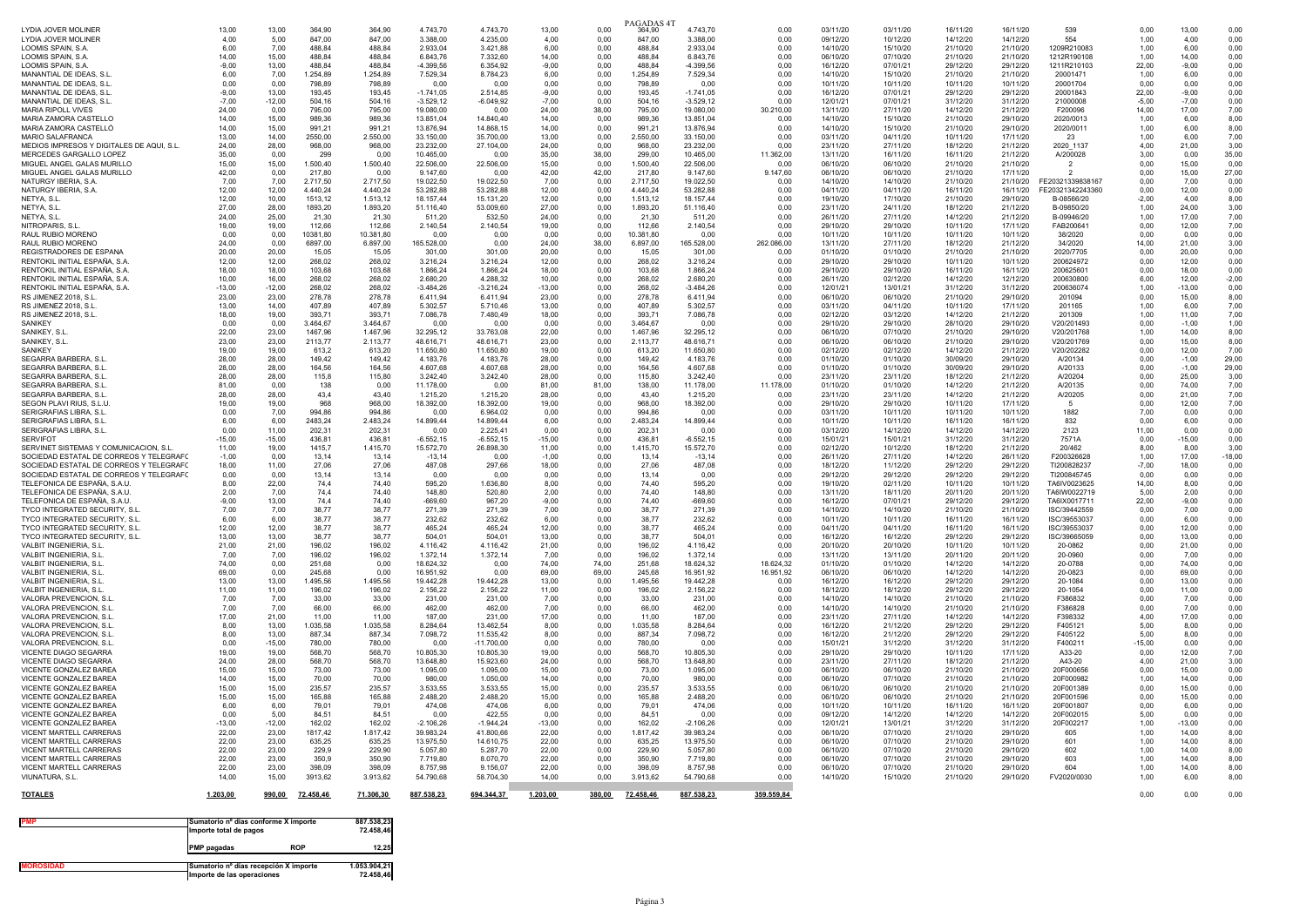| <b>I YDIA JOVER MOLINER</b><br><b>LYDIA JOVER MOLINER</b><br>LOOMIS SPAIN, S.A.    | 13.00<br>4.00<br>6.00 | 13.00<br>5.00<br>7.00 | 364.90<br>847.00<br>488.84 | 364.90<br>847.00<br>488.84 | 4.743.70<br>3.388.00<br>2.933.04 | 4.743.70<br>4.235.00<br>3.421.88 | 13.00<br>4.00<br>6.00 | 0.00<br>0.00<br>0.00 | PAGADAS 4T<br>364,90<br>847.00<br>488.84 | 4.743.70<br>3.388.00<br>2.933.04 | 0.00<br>0.00<br>0.00 | 03/11/20<br>09/12/20<br>14/10/20 | 03/11/20<br>10/12/20<br>15/10/20 | 16/11/20<br>14/12/20<br>21/10/20 | 16/11/20<br>14/12/20<br>21/10/20 | 539<br>554<br>1209R210083            | 0.00<br>1.00<br>1,00 | 13.00<br>4.00<br>6.00 | 0.00<br>0.00<br>0.00 |
|------------------------------------------------------------------------------------|-----------------------|-----------------------|----------------------------|----------------------------|----------------------------------|----------------------------------|-----------------------|----------------------|------------------------------------------|----------------------------------|----------------------|----------------------------------|----------------------------------|----------------------------------|----------------------------------|--------------------------------------|----------------------|-----------------------|----------------------|
| LOOMIS SPAIN, S.A.                                                                 | 14.00                 | 15.00                 | 488,84                     | 488,84                     | 6.843,76                         | 7.332.60                         | 14.00                 | 0,00                 | 488,84                                   | 6.843,76                         | 0.00                 | 06/10/20                         | 07/10/20                         | 21/10/20                         | 21/10/20                         | 1212R190108                          | 1,00                 | 14,00                 | 0,00                 |
| LOOMIS SPAIN, S.A                                                                  | $-9,00$               | 13,00                 | 488,84                     | 488,84                     | $-4.399,56$                      | 6.354,92                         | $-9,00$               | 0,00                 | 488,84                                   | $-4.399,56$                      | 0,00                 | 16/12/20                         | 07/01/21                         | 29/12/20                         | 29/12/20                         | 1211R210103<br>20001471              | 22,00                | $-9,00$               | 0,00                 |
| MANANTIAL DE IDEAS, S.L<br>MANANTIAL DE IDEAS, S.I.                                | 6,00<br>0.00          | 7,00<br>0.00          | 1.254,89<br>798.89         | 1.254,89<br>798.89         | 7.529,34<br>0.00                 | 8.784,23<br>0.00                 | 6,00<br>0.00          | 0,00<br>0.00         | 1.254,89<br>798.89                       | 7.529,34<br>0.00                 | 0,00<br>0.00         | 14/10/20<br>10/11/20             | 15/10/20<br>10/11/20             | 21/10/20<br>10/11/20             | 21/10/20<br>10/11/20             | 20001704                             | 1,00<br>0.00         | 6,00<br>0.00          | 0,00<br>0.00         |
| MANANTIAL DE IDEAS, S.L                                                            | $-9,00$               | 13,00                 | 193.45                     | 193.45                     | $-1.741,05$                      | 2.514,85                         | $-9.00$               | 0,00                 | 193,45                                   | $-1.741.05$                      | 0,00                 | 16/12/20                         | 07/01/21                         | 29/12/20                         | 29/12/20                         | 20001843                             | 22,00                | $-9,00$               | 0,00                 |
| MANANTIAL DE IDEAS, S.L.                                                           | $-7.00$               | $-12.00$              | 504.16                     | 504,16                     | $-3.529, 12$                     | $-6.049.92$<br>0.00              | $-7.00$               | 0.00                 | 504.16                                   | $-3.529.12$                      | 0.00                 | 12/01/21                         | 07/01/21                         | 31/12/20                         | 31/12/20                         | 21000008                             | $-5.00$              | $-7.00$               | 0.00                 |
| <b>MARIA RIPOLL VIVES</b><br>MARIA ZAMORA CASTELLÓ                                 | 24.00<br>14.00        | 0.00<br>15,00         | 795.00<br>989,36           | 795.00<br>989,36           | 19.080.00<br>13.851,04           | 14.840,40                        | 24.00<br>14.00        | 38,00<br>0,00        | 795.00<br>989,36                         | 19.080.00<br>13.851,04           | 30.210,00<br>0.00    | 13/11/20<br>14/10/20             | 27/11/20<br>15/10/20             | 14/12/20<br>21/10/20             | 21/12/20<br>29/10/20             | F200096<br>2020/0013                 | 14.00<br>1,00        | 17,00<br>6,00         | 7,00<br>8,00         |
| MARIA ZAMORA CASTELLÓ                                                              | 14.00                 | 15.00                 | 991.21                     | 991.21                     | 13.876.94                        | 14 868 15                        | 14.00                 | 0.00                 | 991.21                                   | 13.876.94                        | 0.00                 | 14/10/20                         | 15/10/20                         | 21/10/20                         | 29/10/20                         | 2020/0011                            | 1.00                 | 6.00                  | 8.00                 |
| MARIO SAI AFRANCA                                                                  | 13,00                 | 14.00                 | 2550,00                    | 2.550,00                   | 33.150,00                        | 35,700.00                        | 13.00                 | 0,00                 | 2.550,00                                 | 33.150.00                        | 0,00                 | 03/11/20                         | 04/11/20                         | 10/11/20                         | 17/11/20                         | -23                                  | 1,00                 | 6.00                  | 7,00                 |
| MEDIOS IMPRESOS Y DIGITALES DE AQUI. S.L.<br>MERCEDES GARGALLO LOPEZ               | 24.00<br>35.00        | 28,00<br>0.00         | 968.00<br>299              | 968.00<br>0.00             | 23.232.00<br>10.465.00           | 27.104.00<br>0.00                | 24.00<br>35.00        | 0.00<br>38.00        | 968.00<br>299.00                         | 23.232.00<br>10.465.00           | 0.00<br>11.362.00    | 23/11/20<br>13/11/20             | 27/11/20<br>16/11/20             | 18/12/20<br>16/11/20             | 21/12/20<br>21/12/20             | 2020 1137<br>A/200028                | 4,00<br>3.00         | 21.00<br>0.00         | 3,00<br>35,00        |
| MIGUEL ANGEL GALAS MURILLO                                                         | 15,00                 | 15,00                 | 1.500,40                   | 1.500,40                   | 22.506,00                        | 22.506,00                        | 15.00                 | 0,00                 | 1.500,40                                 | 22.506,00                        | 0.00                 | 06/10/20                         | 06/10/20                         | 21/10/20                         | 21/10/20                         | $\overline{2}$                       | 0,00                 | 15,00                 | 0,00                 |
| MIGUEL ANGEL GALAS MURILLO                                                         | 42,00                 | 0,00                  | 217,80                     | 0,00                       | 9.147,60                         | 0.00                             | 42,00                 | 42,00                | 217,80                                   | 9.147,60                         | 9.147,60             | 06/10/20                         | 06/10/20                         | 21/10/20                         | 17/11/20                         | $\overline{2}$                       | 0,00                 | 15,00                 | 27,00                |
| NATURGY IBERIA, S.A.<br>NATURGY IBERIA, S.A.                                       | 7.00<br>12,00         | 7.00<br>12,00         | 2.717,50<br>4.440.24       | 2.717,50<br>4.440.24       | 19.022.50<br>53.282,88           | 19.022.50<br>53.282.88           | 7.00<br>12.00         | 0.00<br>0.00         | 2.717.50<br>4.440.24                     | 19.022.50<br>53.282.88           | 0.00<br>0.00         | 14/10/20<br>04/11/20             | 14/10/20<br>04/11/20             | 21/10/20<br>16/11/20             | 21/10/20<br>16/11/20             | FF20321339838167<br>FE20321342243360 | 0.00<br>0,00         | 7.00<br>12.00         | 0.00<br>0,00         |
| NETYA, S.L                                                                         | 12.00                 | 10.00                 | 1513,12                    | 1.513.12                   | 18.157.44                        | 15.131.20                        | 12.00                 | 0.00                 | 1.513,12                                 | 18.157.44                        | 0.00                 | 19/10/20                         | 17/10/20                         | 21/10/20                         | 29/10/20                         | B-08566/20                           | $-2.00$              | 4.00                  | 8.00                 |
| NETYA, S.L                                                                         | 27.00                 | 28.00                 | 1893,20                    | 1.893.20                   | 51.116.40                        | 53.009.60                        | 27.00                 | 0.00                 | 1.893,20                                 | 51.116.40                        | 0.00                 | 23/11/20                         | 24/11/20                         | 18/12/20                         | 21/12/20                         | B-09850/20                           | 1,00                 | 24.00                 | 3.00                 |
| NETYA, S.L<br>NITROPARIS S.I.                                                      | 24.00<br>19.00        | 25.00<br>19.00        | 21.30<br>112.66            | 21.30<br>112.66            | 511.20<br>2.140.54               | 532.50<br>2.140.54               | 24.00<br>19.00        | 0.00<br>0.00         | 21.30<br>112.66                          | 511.20<br>2.140.54               | 0.00<br>0.00         | 26/11/20<br>29/10/20             | 27/11/20<br>29/10/20             | 14/12/20<br>10/11/20             | 21/12/20<br>17/11/20             | B-09946/20<br>FAB200641              | 1,00<br>0.00         | 17.00<br>12.00        | 7,00<br>7.00         |
| RAUL RUBIO MORENO                                                                  | 0,00                  | 0,00                  | 10381,80                   | 10.381,80                  | 0,00                             | 0,00                             | 0,00                  | 0,00                 | 10.381,80                                | 0,00                             | 0,00                 | 10/11/20                         | 10/11/20                         | 10/11/20                         | 10/11/20                         | 38/2020                              | 0,00                 | 0,00                  | 0,00                 |
| RAUL RUBIO MORENO                                                                  | 24,00                 | 0,00                  | 6897,00                    | 6.897,00                   | 165.528,00                       | 0,00                             | 24,00                 | 38,00                | 6.897,00                                 | 165.528,00                       | 262.086,00           | 13/11/20                         | 27/11/20                         | 18/12/20                         | 21/12/20                         | 34/2020                              | 14,00                | 21,00                 | 3,00                 |
| REGISTRADORES DE ESPAÑA<br>RENTOKIL INITIAL ESPAÑA, S.A.                           | 20.00<br>12.00        | 20.00<br>12.00        | 15.05<br>268.02            | 15.05<br>268,02            | 301.00<br>3.216,24               | 301.00<br>3.216,24               | 20.00<br>12.00        | 0.00<br>0,00         | 15.05<br>268.02                          | 301.00<br>3.216.24               | 0.00<br>0.00         | 01/10/20<br>29/10/20             | 01/10/20<br>29/10/20             | 21/10/20<br>10/11/20             | 21/10/20<br>10/11/20             | 2020/7705<br>200624972               | 0.00<br>0,00         | 20.00<br>12.00        | 0.00<br>0,00         |
| RENTOKIL INITIAL ESPAÑA, S.A.                                                      | 18.00                 | 18.00                 | 103.68                     | 103.68                     | 1.866.24                         | 1.866.24                         | 18.00                 | 0.00                 | 103.68                                   | 1.866.24                         | 0.00                 | 29/10/20                         | 29/10/20                         | 16/11/20                         | 16/11/20                         | 20062560                             | 0.00                 | 18.00                 | 0,00                 |
| RENTOKIL INITIAL ESPAÑA. S.A                                                       | 10.00                 | 16.00                 | 268.02                     | 268.02                     | 2.680,20                         | 4.288.32                         | 10.00                 | 0.00                 | 268.02                                   | 2.680.20                         | 0,00                 | 26/11/20                         | 02/12/20                         | 14/12/20                         | 12/12/20                         | 200630800                            | 6.00                 | 12,00                 | $-2,00$              |
| RENTOKIL INITIAL ESPAÑA, S.A<br>RS JIMENEZ 2018, S.L.                              | $-13,00$<br>23.00     | $-12,00$<br>23.00     | 268.02<br>278.78           | 268,02<br>278.78           | $-3.484.26$<br>6.411.94          | $-3.216.24$<br>6411.94           | $-13,00$<br>23.00     | 0,00<br>0.00         | 268,02<br>278.78                         | $-3.484,26$<br>6.411.94          | 0,00<br>0.00         | 12/01/21<br>06/10/20             | 13/01/21<br>06/10/20             | 31/12/20<br>21/10/20             | 31/12/20<br>29/10/20             | 200636074<br>201094                  | 1,00<br>0.00         | $-13.00$<br>15.00     | 0,00<br>8.00         |
| RS JIMENEZ 2018, S.L                                                               | 13,00                 | 14.00                 | 407.89                     | 407.89                     | 5.302.57                         | 5.710.46                         | 13.00                 | 0,00                 | 407.89                                   | 5.302.57                         | 0,00                 | 03/11/20                         | 04/11/20                         | 10/11/20                         | 17/11/20                         | 201165                               | 1,00                 | 6.00                  | 7,00                 |
| RS JIMENEZ 2018, S.L.                                                              | 18,00                 | 19,00                 | 393,71                     | 393,71                     | 7.086,78                         | 7.480,49                         | 18,00                 | 0,00                 | 393,71                                   | 7.086,78                         | 0,00                 | 02/12/20                         | 03/12/20                         | 14/12/20                         | 21/12/20                         | 201309                               | 1,00                 | 11,00                 | 7,00                 |
| SANIKFY<br>SANIKEY, S.L                                                            | 0.00<br>22,00         | 0.00<br>23,00         | 3.464.67<br>1467,96        | 3.464.67<br>1.467,96       | 0.00<br>32.295,12                | 0.00<br>33.763,08                | 0.00<br>22,00         | 0.00<br>0,00         | 3.464.67<br>1.467,96                     | 0.00<br>32.295,12                | 0.00<br>0,00         | 29/10/20<br>06/10/20             | 29/10/20<br>07/10/20             | 28/10/20<br>21/10/20             | 29/10/20<br>29/10/20             | V20/201493<br>V20/201768             | 0.00<br>1,00         | $-1.00$<br>14,00      | 1.00<br>8,00         |
| SANIKEY, S.I.                                                                      | 23,00                 | 23,00                 | 2113,77                    | 2.113,77                   | 48.616,71                        | 48.616.71                        | 23,00                 | 0,00                 | 2.113,77                                 | 48.616,71                        | 0,00                 | 06/10/20                         | 06/10/20                         | 21/10/20                         | 29/10/20                         | V20/201769                           | 0,00                 | 15,00                 | 8,00                 |
| <b>SANIKFY</b>                                                                     | 19.00                 | 19.00                 | 613.2                      | 613,20                     | 11.650.80                        | 11.650.80                        | 19.00                 | 0.00                 | 613,20                                   | 11.650.80                        | 0,00                 | 02/12/20                         | 02/12/20                         | 14/12/20                         | 21/12/20                         | V20/202282                           | 0.00                 | 12.00                 | 7,00                 |
| SEGARRA BARBERA, S.L<br>SEGARRA BARBERA, S.L.                                      | 28.00<br>28.00        | 28.00<br>28.00        | 149.42<br>164.56           | 149.42<br>164.56           | 4.183.76<br>4.607.68             | 4.183.76<br>4.607.68             | 28.00<br>28.00        | 0.00<br>0.00         | 149.42<br>164.56                         | 4.183.76<br>4.607.68             | 0,00<br>0.00         | 01/10/20<br>01/10/20             | 01/10/20<br>01/10/20             | 30/09/20<br>30/09/20             | 29/10/20<br>29/10/20             | A/20134<br>A/20133                   | 0,00<br>0.00         | $-1.00$<br>$-1.00$    | 29.00<br>29,00       |
| SEGARRA BARBERA, S.L                                                               | 28,00                 | 28,00                 | 115,8                      | 115,80                     | 3.242,40                         | 3.242,40                         | 28,00                 | 0,00                 | 115,80                                   | 3.242,40                         | 0,00                 | 23/11/20                         | 23/11/20                         | 18/12/20                         | 21/12/20                         | A/20204                              | 0,00                 | 25,00                 | 3,00                 |
| SEGARRA BARBERA S.I.                                                               | 81,00                 | 0,00                  | 138                        | 0,00                       | 11.178,00                        | 0.00                             | 81.00                 | 81,00                | 138,00                                   | 11.178,00                        | 11.178,00            | 01/10/20                         | 01/10/20                         | 14/12/20                         | 21/12/20                         | A/20135                              | 0,00                 | 74.00                 | 7,00                 |
| SEGARRA BARBERA S.I.<br>SEGON PLAVI RIUS, S.L.U                                    | 28.00<br>19,00        | 28.00<br>19,00        | 43.4<br>968                | 43.40<br>968,00            | 1.215.20<br>18.392,00            | 1.215.20<br>18.392,00            | 28.00<br>19,00        | 0.00<br>0,00         | 43.40<br>968,00                          | 1.215.20<br>18.392,00            | 0.00<br>0,00         | 23/11/20<br>29/10/20             | 23/11/20<br>29/10/20             | 14/12/20<br>10/11/20             | 21/12/20<br>17/11/20             | A/20205<br>- 5                       | 0.00<br>0,00         | 21.00<br>12,00        | 7,00<br>7,00         |
| SERIGRAFIAS LIBRA, S.L.                                                            | 0.00                  | 7.00                  | 994,86                     | 994.86                     | 0.00                             | 6.964.02                         | 0.00                  | 0.00                 | 994,86                                   | 0.00                             | 0.00                 | 03/11/20                         | 10/11/20                         | 10/11/20                         | 10/11/20                         | 1882                                 | 7.00                 | 0.00                  | 0,00                 |
| SERIGRAFIAS LIBRA S.I.                                                             | 6.00                  | 6.00                  | 2483.24                    | 248324                     | 14.899,44                        | 14 899 44                        | 6.00                  | 0.00                 | 2.483,24                                 | 14.899,44                        | 0.00                 | 10/11/20                         | 10/11/20                         | 16/11/20                         | 16/11/20                         | 832                                  | 0.00                 | 6.00                  | 0.00                 |
| SERIGRAFIAS LIBRA, S.L.<br><b>SERVIFOT</b>                                         | 0,00<br>$-15.00$      | 11,00<br>$-15,00$     | 202.31<br>436,81           | 202.31<br>436,81           | 0.00<br>$-6.552, 15$             | 2.225.41<br>$-6.552.15$          | 0,00<br>$-15.00$      | 0,00<br>0,00         | 202,31<br>436,81                         | 0.00<br>$-6.552, 15$             | 0,00<br>0,00         | 03/12/20<br>15/01/21             | 14/12/20<br>15/01/21             | 14/12/20<br>31/12/20             | 14/12/20<br>31/12/20             | 2123<br>7571A                        | 11,00<br>0,00        | 0,00<br>$-15,00$      | 0,00<br>0,00         |
| SERVINET SISTEMAS Y COMUNICACION, S.L.                                             | 11,00                 | 19,00                 | 1415,7                     | 1.415,70                   | 15.572,70                        | 26.898,30                        | 11.00                 | 0,00                 | 1.415,70                                 | 15.572,70                        | 0,00                 | 02/12/20                         | 10/12/20                         | 18/12/20                         | 21/12/20                         | 20/462                               | 8,00                 | 8,00                  | 3,00                 |
| SOCIEDAD ESTATAL DE CORREOS Y TELEGRAFO                                            | $-1,00$               | 0.00                  | 13.14                      | 13,14                      | $-13.14$                         | 0.00                             | $-1,00$               | 0,00                 | 13.14                                    | $-13.14$                         | 0,00                 | 26/11/20                         | 27/11/20                         | 14/12/20                         | 26/11/20                         | F200326628                           | 1,00                 | 17.00                 | $-18,00$             |
| SOCIEDAD ESTATAL DE CORREOS Y TELEGRAEO<br>SOCIEDAD ESTATAL DE CORREOS Y TELEGRAFO | 18,00<br>0,00         | 11,00<br>0,00         | 27.06<br>13.14             | 27.06<br>13.14             | 487.08<br>0.00                   | 297.66<br>0.00                   | 18.00<br>0.00         | 0.00<br>0,00         | 27.06<br>13.14                           | 487.08<br>0.00                   | 0.00<br>0,00         | 18/12/20<br>29/12/20             | 11/12/20<br>29/12/20             | 29/12/20<br>29/12/20             | 29/12/20<br>29/12/20             | TI200828237<br>TI200845745           | $-7,00$<br>0,00      | 18.00<br>0.00         | 0.00<br>0,00         |
| TELEFONICA DE ESPAÑA, S.A.U                                                        | 8,00                  | 22,00                 | 74,4                       | 74,40                      | 595,20                           | 1.636,80                         | 8,00                  | 0,00                 | 74,40                                    | 595,20                           | 0,00                 | 19/10/20                         | 02/11/20                         | 10/11/20                         | 10/11/20                         | TA6IV0023625                         | 14,00                | 8,00                  | 0,00                 |
| TELEFONICA DE ESPAÑA S.A.U                                                         | 2.00                  | 7.00                  | 744                        | 74.40                      | 148.80                           | 520.80                           | 2.00                  | 0.00                 | 74.40                                    | 148.80                           | 0.00                 | 13/11/20                         | 18/11/20                         | 20/11/20                         | 20/11/20                         | TA6IW0022719                         | 5.00                 | 2.00                  | 0.00                 |
| TELEFONICA DE ESPAÑA, S.A.U<br>TYCO INTEGRATED SECURITY, S.L                       | $-9,00$<br>7.00       | 13,00<br>7.00         | 74,4<br>38,77              | 74,40<br>38.77             | $-669,60$<br>271.39              | 967,20<br>271.39                 | $-9,00$<br>7.00       | 0,00<br>0.00         | 74,40<br>38.77                           | $-669,60$<br>271.39              | 0,00<br>0.00         | 16/12/20<br>14/10/20             | 07/01/21<br>14/10/20             | 29/12/20<br>21/10/20             | 29/12/20<br>21/10/20             | TA6IX0017711<br>ISC/39442559         | 22,00<br>0.00        | $-9,00$<br>7.00       | 0,00<br>0,00         |
| TYCO INTEGRATED SECURITY, S.L                                                      | 6.00                  | 6.00                  | 38.77                      | 38.77                      | 232.62                           | 232.62                           | 6.00                  | 0.00                 | 38.77                                    | 232,62                           | 0.00                 | 10/11/20                         | 10/11/20                         | 16/11/20                         | 16/11/20                         | ISC/39553037                         | 0.00                 | 6.00                  | 0.00                 |
| TYCO INTEGRATED SECURITY. S.L.                                                     | 12.00                 | 12.00                 | 38.77                      | 38.77                      | 465.24                           | 465.24                           | 12.00                 | 0.00                 | 38.77                                    | 465.24                           | 0,00                 | 04/11/20                         | 04/11/20                         | 16/11/20                         | 16/11/20                         | ISC/39553037                         | 0,00                 | 12.00                 | 0.00                 |
| TYCO INTEGRATED SECURITY. S.L.<br>VALBIT INGENIERIA, S.L                           | 13.00<br>21,00        | 13.00<br>21,00        | 38.77<br>196,02            | 38.77<br>196,02            | 504.01<br>4.116,42               | 504.01<br>4.116,42               | 13.00<br>21,00        | 0.00<br>0,00         | 38.77<br>196,02                          | 504.01<br>4.116,42               | 0.00<br>0,00         | 16/12/20<br>20/10/20             | 16/12/20<br>20/10/20             | 29/12/20<br>10/11/20             | 29/12/20<br>10/11/20             | ISC/39665059<br>20-0862              | 0.00<br>0,00         | 13.00<br>21,00        | 0.00<br>0,00         |
| VAI BIT INGENIERIA. S.I.                                                           | 7,00                  | 7,00                  | 196,02                     | 196,02                     | 1.372,14                         | 1.372,14                         | 7,00                  | 0,00                 | 196,02                                   | 1.372,14                         | 0,00                 | 13/11/20                         | 13/11/20                         | 20/11/20                         | 20/11/20                         | 20-0960                              | 0,00                 | 7,00                  | 0,00                 |
| VAI BIT INGENIERIA. S.I.                                                           | 74.00                 | 0.00                  | 251.68                     | 0.00                       | 18.624.32                        | 0.00                             | 74.00                 | 74.00                | 251.68                                   | 18.624.32                        | 18.624,32            | 01/10/20                         | 01/10/20                         | 14/12/20                         | 14/12/20                         | 20-0788                              | 0.00                 | 74.00                 | 0,00                 |
| VALBIT INGENIERIA, S.L<br>VALBIT INGENIERIA. S.L.                                  | 69.00<br>13.00        | 0,00<br>13.00         | 245,68<br>1.495,56         | 0,00<br>1.495,56           | 16.951,92<br>19.442,28           | 0.00<br>19.442,28                | 69.00<br>13.00        | 69,00<br>0.00        | 245,68<br>1.495,56                       | 16.951,92<br>19.442.28           | 16.951.92<br>0.00    | 06/10/20<br>16/12/20             | 06/10/20<br>16/12/20             | 14/12/20<br>29/12/20             | 14/12/20<br>29/12/20             | 20-0823<br>20-1084                   | 0,00<br>0.00         | 69,00<br>13.00        | 0,00<br>0.00         |
| VALRIT INGENIERIA SI                                                               | 11.00                 | 11,00                 | 196.02                     | 196.02                     | 2.156,22                         | 2.156,22                         | 11.00                 | 0.00                 | 196.02                                   | 2.156.22                         | 0.00                 | 18/12/20                         | 18/12/20                         | 29/12/20                         | 29/12/20                         | 20-1054                              | 0.00                 | 11.00                 | 0.00                 |
| VALORA PREVENCION. S.L                                                             | 7.00                  | 7,00                  | 33.00                      | 33,00                      | 231.00                           | 231.00                           | 7,00                  | 0,00                 | 33,00                                    | 231.00                           | 0,00                 | 14/10/20                         | 14/10/20                         | 21/10/20                         | 21/10/20                         | F386832                              | 0,00                 | 7,00                  | 0,00                 |
| VAI ORA PREVENCION S.I.<br>VALORA PREVENCION. S.L                                  | 7.00<br>17,00         | 7.00<br>21,00         | 66.00<br>11,00             | 66.00<br>11.00             | 462.00<br>187,00                 | 462.00<br>231.00                 | 7.00<br>17.00         | 0.00<br>0,00         | 66.00<br>11.00                           | 462.00<br>187.00                 | 0.00<br>0,00         | 14/10/20<br>23/11/20             | 14/10/20<br>27/11/20             | 21/10/20<br>14/12/20             | 21/10/20<br>14/12/20             | F386828<br>F398332                   | 0.00<br>4,00         | 7.00<br>17,00         | 0.00<br>0,00         |
| VALORA PREVENCION, S.L.                                                            | 8.00                  | 13.00                 | 1.035,58                   | 1.035,58                   | 8.284,64                         | 13.462.54                        | 8.00                  | 0,00                 | 1.035,58                                 | 8.284.64                         | 0,00                 | 16/12/20                         | 21/12/20                         | 29/12/20                         | 29/12/20                         | F405121                              | 5,00                 | 8.00                  | 0,00                 |
| VALORA PREVENCION. S.I.                                                            | 8.00                  | 13,00                 | 887.34                     | 887.34                     | 7.098,72                         | 11.535.42                        | 8.00                  | 0.00                 | 887.34                                   | 7.098,72                         | 0.00                 | 16/12/20                         | 21/12/20                         | 29/12/20                         | 29/12/20                         | F405122                              | 5.00                 | 8.00                  | 0.00                 |
| VALORA PREVENCION, S.L.<br>VICENTE DIAGO SEGARRA                                   | 0,00<br>19,00         | $-15,00$<br>19,00     | 780,00<br>568,70           | 780,00<br>568,70           | 0,00<br>10.805,30                | $-11.700,00$<br>10.805,30        | 0,00<br>19,00         | 0,00<br>0,00         | 780,00<br>568,70                         | 0,00<br>10.805,30                | 0,00<br>0,00         | 15/01/21<br>29/10/20             | 31/12/20<br>29/10/20             | 31/12/20<br>10/11/20             | 31/12/20<br>17/11/20             | F400211<br>A33-20                    | $-15,00$<br>0,00     | 0,00<br>12,00         | 0,00<br>7,00         |
| <b>VICENTE DIAGO SEGARRA</b>                                                       | 24.00                 | 28.00                 | 568.70                     | 568,70                     | 13.648.80                        | 15.923.60                        | 24.00                 | 0.00                 | 568.70                                   | 13.648,80                        | 0.00                 | 23/11/20                         | 27/11/20                         | 18/12/20                         | 21/12/20                         | A43-20                               | 4.00                 | 21.00                 | 3.00                 |
| VICENTE GONZALEZ BAREA                                                             | 15,00                 | 15.00                 | 73.00                      | 73.00                      | 1.095,00                         | 1.095.00                         | 15.00                 | 0,00                 | 73.00                                    | 1.095.00                         | 0,00                 | 06/10/20                         | 06/10/20                         | 21/10/20                         | 21/10/20                         | 20F000656                            | 0,00                 | 15.00                 | 0,00                 |
| VICENTE GONZALEZ BAREA<br>VICENTE GONZALEZ BAREA                                   | 14.00<br>15,00        | 15.00<br>15,00        | 70.00<br>235.57            | 70.00<br>235.57            | 980.00<br>3.533.55               | 1.050.00<br>3.533.55             | 14.00<br>15.00        | 0.00<br>0.00         | 70.00<br>235,57                          | 980.00<br>3.533.55               | 0.00<br>0.00         | 06/10/20<br>06/10/20             | 07/10/20<br>06/10/20             | 21/10/20<br>21/10/20             | 21/10/20<br>21/10/20             | 20F000982<br>20F001389               | 1.00<br>0.00         | 14.00<br>15.00        | 0,00<br>0.00         |
| VICENTE GONZALEZ BAREA                                                             | 15,00                 | 15,00                 | 165,88                     | 165,88                     | 2.488,20                         | 2.488,20                         | 15,00                 | 0,00                 | 165,88                                   | 2.488,20                         | 0,00                 | 06/10/20                         | 06/10/20                         | 21/10/20                         | 21/10/20                         | 20F001596                            | 0,00                 | 15,00                 | 0,00                 |
| VICENTE GONZALEZ BAREA                                                             | 6.00                  | 6.00                  | 79.01                      | 79.01                      | 474.06                           | 474.06                           | 6.00                  | 0.00                 | 79.01                                    | 474.06                           | 0.00                 | 10/11/20                         | 10/11/20                         | 16/11/20                         | 16/11/20                         | 20F001807                            | 0.00                 | 6.00                  | 0.00                 |
| VICENTE GONZALEZ BAREA<br>VICENTE GONZALEZ BAREA                                   | 0,00<br>$-13,00$      | 5,00<br>$-12,00$      | 84,51<br>162,02            | 84,51<br>162,02            | 0,00<br>$-2.106,26$              | 422,55<br>$-1.944.24$            | 0,00<br>$-13,00$      | 0,00<br>0,00         | 84,51<br>162,02                          | 0,00<br>$-2.106,26$              | 0,00<br>0,00         | 09/12/20<br>12/01/21             | 14/12/20<br>13/01/21             | 14/12/20<br>31/12/20             | 14/12/20<br>31/12/20             | 20F002015<br>20F002217               | 5,00<br>1,00         | 0,00<br>$-13,00$      | 0,00<br>0,00         |
| VICENT MARTELL CARRERAS                                                            | 22.00                 | 23,00                 | 1817.42                    | 1.817,42                   | 39.983.24                        | 41,800.66                        | 22.00                 | 0.00                 | 1.817,42                                 | 39.983.24                        | 0.00                 | 06/10/20                         | 07/10/20                         | 21/10/20                         | 29/10/20                         | 605                                  | 1,00                 | 14.00                 | 8.00                 |
| VICENT MARTELL CARRERAS                                                            | 22.00                 | 23.00                 | 635,25                     | 635,25                     | 13.975,50                        | 14.610,75                        | 22.00                 | 0.00                 | 635,25                                   | 13.975,50                        | 0.00                 | 06/10/20                         | 07/10/20                         | 21/10/20                         | 29/10/20                         | 601                                  | 1,00                 | 14,00                 | 8,00                 |
| VICENT MARTELL CARRERAS<br>VICENT MARTELL CARRERAS                                 | 22.00<br>22,00        | 23.00<br>23,00        | 229.9<br>350.9             | 229.90<br>350,90           | 5.057.80<br>7.719.80             | 5.287.70<br>8.070.70             | 22.00<br>22.00        | 0.00<br>0.00         | 229.90<br>350.90                         | 5.057.80<br>7.719.80             | 0.00<br>0.00         | 06/10/20<br>06/10/20             | 07/10/20<br>07/10/20             | 21/10/20<br>21/10/20             | 29/10/20<br>29/10/20             | 602<br>603                           | 1,00<br>1,00         | 14.00<br>14.00        | 8,00<br>8.00         |
| <b>VICENT MARTELL CARRERAS</b>                                                     | 22.00                 | 23.00                 | 398.09                     | 398.09                     | 8,757.98                         | 9.156.07                         | 22,00                 | 0,00                 | 398.09                                   | 8.757.98                         | 0,00                 | 06/10/20                         | 07/10/20                         | 21/10/20                         | 29/10/20                         | 604                                  | 1,00                 | 14.00                 | 8.00                 |
| VIUNATURA S.I.                                                                     | 14.00                 | 15.00                 | 3913.62                    | 3.913.62                   | 54 790 68                        | 58.704.30                        | 14.00                 | 0.00                 | 3.913.62                                 | 54 790 68                        | 0.00                 | 14/10/20                         | 15/10/20                         | 21/10/20                         | 29/10/20                         | FV2020/0030                          | 1.00                 | 6.00                  | 8.00                 |
| <b>TOTALES</b>                                                                     | 1.203.00              |                       | 990,00 72.458,46           | 71.306,30                  | 887.538.23                       | 694.344,37                       | 1.203,00              | 380,00               | 72.458,46                                | 887.538.23                       | 359.559,84           |                                  |                                  |                                  |                                  |                                      | 0,00                 | 0,00                  | 0,00                 |

| <b>PMP</b>       | Sumatorio nº días conforme X importe  |            | 887.538.23   |
|------------------|---------------------------------------|------------|--------------|
|                  | Importe total de pagos                |            | 72.458.46    |
|                  | <b>PMP</b> pagadas                    | <b>ROP</b> | 12.25        |
| <b>MOROSIDAD</b> | Sumatorio nº días recepción X importe |            | 1.053.904.21 |
|                  | Importe de las operaciones            |            | 72.458.46    |